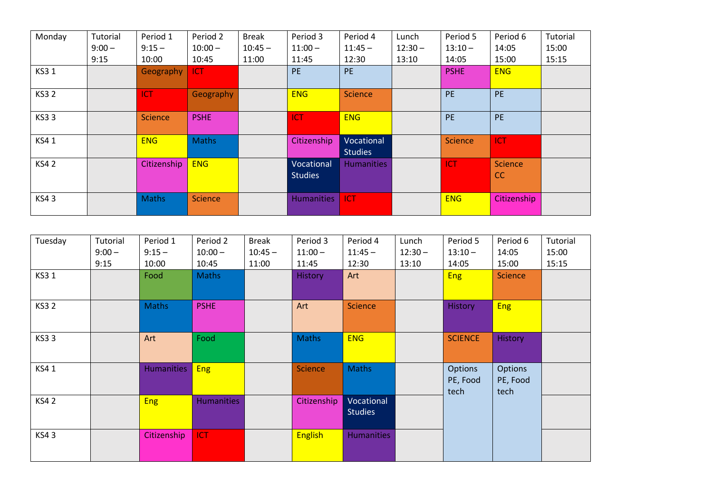| Monday      | Tutorial | Period 1       | Period 2       | <b>Break</b> | Period 3                     | Period 4                     | Lunch     | Period 5    | Period 6                         | Tutorial |
|-------------|----------|----------------|----------------|--------------|------------------------------|------------------------------|-----------|-------------|----------------------------------|----------|
|             | $9:00 -$ | $9:15 -$       | $10:00 -$      | $10:45 -$    | $11:00 -$                    | $11:45 -$                    | $12:30 -$ | $13:10 -$   | 14:05                            | 15:00    |
|             | 9:15     | 10:00          | 10:45          | 11:00        | 11:45                        | 12:30                        | 13:10     | 14:05       | 15:00                            | 15:15    |
| <b>KS31</b> |          | Geography      | <b>ICT</b>     |              | <b>PE</b>                    | <b>PE</b>                    |           | <b>PSHE</b> | <b>ENG</b>                       |          |
| <b>KS32</b> |          | <b>ICT</b>     | Geography      |              | <b>ENG</b>                   | Science                      |           | <b>PE</b>   | <b>PE</b>                        |          |
| <b>KS33</b> |          | <b>Science</b> | <b>PSHE</b>    |              | ICT                          | <b>ENG</b>                   |           | <b>PE</b>   | <b>PE</b>                        |          |
| KS41        |          | <b>ENG</b>     | <b>Maths</b>   |              | Citizenship                  | Vocational<br><b>Studies</b> |           | Science     | ICT                              |          |
| <b>KS42</b> |          | Citizenship    | <b>ENG</b>     |              | Vocational<br><b>Studies</b> | <b>Humanities</b>            |           | <b>ICT</b>  | <b>Science</b><br><sub>c</sub> c |          |
| <b>KS43</b> |          | <b>Maths</b>   | <b>Science</b> |              | <b>Humanities</b>            | ICT                          |           | <b>ENG</b>  | Citizenship                      |          |

| Tuesday     | Tutorial | Period 1          | Period 2          | <b>Break</b> | Period 3       | Period 4          | Lunch     | Period 5       | Period 6       | Tutorial |
|-------------|----------|-------------------|-------------------|--------------|----------------|-------------------|-----------|----------------|----------------|----------|
|             | $9:00 -$ | $9:15 -$          | $10:00 -$         | $10:45 -$    | $11:00 -$      | $11:45 -$         | $12:30 -$ | $13:10 -$      | 14:05          | 15:00    |
|             | 9:15     | 10:00             | 10:45             | 11:00        | 11:45          | 12:30             | 13:10     | 14:05          | 15:00          | 15:15    |
| KS3 1       |          | Food              | <b>Maths</b>      |              | <b>History</b> | Art               |           | <b>Eng</b>     | <b>Science</b> |          |
|             |          |                   |                   |              |                |                   |           |                |                |          |
| <b>KS32</b> |          | <b>Maths</b>      | <b>PSHE</b>       |              | Art            | <b>Science</b>    |           | <b>History</b> | <b>Eng</b>     |          |
|             |          |                   |                   |              |                |                   |           |                |                |          |
| <b>KS33</b> |          | Art               | Food              |              | <b>Maths</b>   | <b>ENG</b>        |           | <b>SCIENCE</b> | History        |          |
|             |          |                   |                   |              |                |                   |           |                |                |          |
| KS41        |          | <b>Humanities</b> | <b>Eng</b>        |              | <b>Science</b> | <b>Maths</b>      |           | Options        | Options        |          |
|             |          |                   |                   |              |                |                   |           | PE, Food       | PE, Food       |          |
| <b>KS42</b> |          | <b>Eng</b>        | <b>Humanities</b> |              | Citizenship    | Vocational        |           | tech           | tech           |          |
|             |          |                   |                   |              |                | <b>Studies</b>    |           |                |                |          |
|             |          |                   |                   |              |                |                   |           |                |                |          |
| <b>KS43</b> |          | Citizenship       | ICT               |              | <b>English</b> | <b>Humanities</b> |           |                |                |          |
|             |          |                   |                   |              |                |                   |           |                |                |          |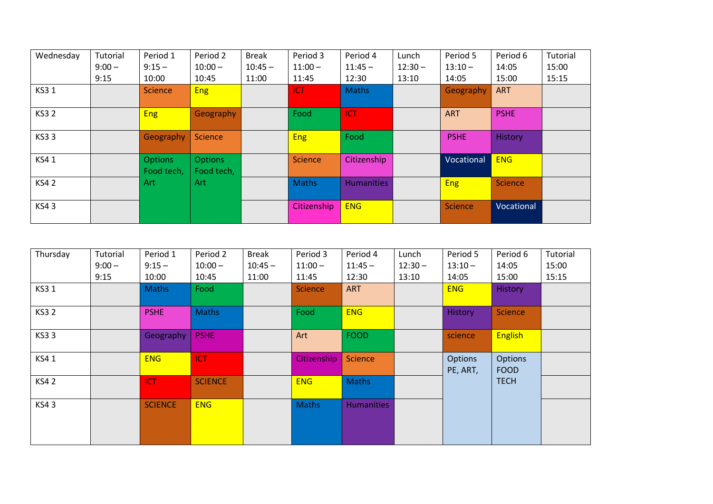| Wednesday   | Tutorial | Period 1                     | Period 2                     | <b>Break</b> | Period 3     | Period 4          | Lunch     | Period 5       | Period 6       | Tutorial |
|-------------|----------|------------------------------|------------------------------|--------------|--------------|-------------------|-----------|----------------|----------------|----------|
|             | $9:00 -$ | $9:15 -$                     | $10:00 -$                    | $10:45 -$    | $11:00 -$    | $11:45 -$         | $12:30 -$ | $13:10 -$      | 14:05          | 15:00    |
|             | 9:15     | 10:00                        | 10:45                        | 11:00        | 11:45        | 12:30             | 13:10     | 14:05          | 15:00          | 15:15    |
| <b>KS31</b> |          | <b>Science</b>               | <b>Eng</b>                   |              | <b>ICT</b>   | <b>Maths</b>      |           | Geography      | <b>ART</b>     |          |
| <b>KS32</b> |          | <b>Eng</b>                   | Geography                    |              | Food         | <b>ICT</b>        |           | <b>ART</b>     | <b>PSHE</b>    |          |
| <b>KS33</b> |          | Geography                    | <b>Science</b>               |              | <b>Eng</b>   | Food              |           | <b>PSHE</b>    | History        |          |
| KS41        |          | <b>Options</b><br>Food tech, | <b>Options</b><br>Food tech, |              | Science      | Citizenship       |           | Vocational     | <b>ENG</b>     |          |
| <b>KS42</b> |          | Art                          | Art                          |              | <b>Maths</b> | <b>Humanities</b> |           | <b>Eng</b>     | <b>Science</b> |          |
| <b>KS43</b> |          |                              |                              |              | Citizenship  | <b>ENG</b>        |           | <b>Science</b> | Vocational     |          |

| Thursday    | Tutorial | Period 1       | Period 2       | <b>Break</b> | Period 3       | Period 4          | Lunch     | Period 5                   | Period 6               | Tutorial |
|-------------|----------|----------------|----------------|--------------|----------------|-------------------|-----------|----------------------------|------------------------|----------|
|             | $9:00 -$ | $9:15 -$       | $10:00 -$      | $10:45 -$    | $11:00 -$      | $11:45 -$         | $12:30 -$ | $13:10 -$                  | 14:05                  | 15:00    |
|             | 9:15     | 10:00          | 10:45          | 11:00        | 11:45          | 12:30             | 13:10     | 14:05                      | 15:00                  | 15:15    |
| KS3 1       |          | Maths          | Food           |              | <b>Science</b> | <b>ART</b>        |           | <b>ENG</b>                 | History                |          |
| <b>KS32</b> |          | <b>PSHE</b>    | <b>Maths</b>   |              | Food           | <b>ENG</b>        |           | <b>History</b>             | Science                |          |
| <b>KS33</b> |          | Geography      | <b>PSHE</b>    |              | Art            | <b>FOOD</b>       |           | science                    | <b>English</b>         |          |
| KS41        |          | <b>ENG</b>     | <b>ICT</b>     |              | Citizenship    | Science           |           | <b>Options</b><br>PE, ART, | Options<br><b>FOOD</b> |          |
| <b>KS42</b> |          | <b>ICT</b>     | <b>SCIENCE</b> |              | <b>ENG</b>     | Maths             |           |                            | <b>TECH</b>            |          |
| <b>KS43</b> |          | <b>SCIENCE</b> | <b>ENG</b>     |              | <b>Maths</b>   | <b>Humanities</b> |           |                            |                        |          |